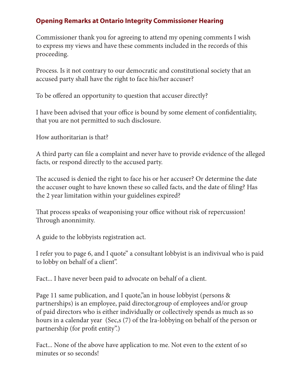## **Opening Remarks at Ontario Integrity Commissioner Hearing**

Commissioner thank you for agreeing to attend my opening comments I wish to express my views and have these comments included in the records of this proceeding.

Process. Is it not contrary to our democratic and constitutional society that an accused party shall have the right to face his/her accuser?

To be offered an opportunity to question that accuser directly?

I have been advised that your office is bound by some element of confidentiality, that you are not permitted to such disclosure.

How authoritarian is that?

A third party can file a complaint and never have to provide evidence of the alleged facts, or respond directly to the accused party.

The accused is denied the right to face his or her accuser? Or determine the date the accuser ought to have known these so called facts, and the date of filing? Has the 2 year limitation within your guidelines expired?

That process speaks of weaponising your office without risk of repercussion! Through anonnimity.

A guide to the lobbyists registration act.

I refer you to page 6, and I quote" a consultant lobbyist is an indivivual who is paid to lobby on behalf of a client".

Fact... I have never been paid to advocate on behalf of a client.

Page 11 same publication, and I quote," an in house lobbyist (persons & partnerships) is an employee, paid director,group of employees and/or group of paid directors who is either individually or collectively spends as much as so hours in a calendar year (Sec,s (7) of the lra-lobbying on behalf of the person or partnership (for profit entity".)

Fact... None of the above have application to me. Not even to the extent of so minutes or so seconds!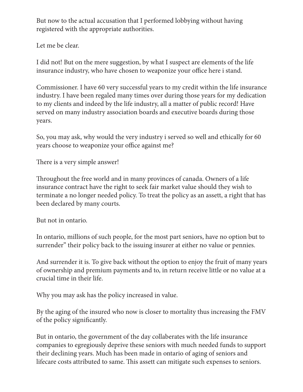But now to the actual accusation that I performed lobbying without having registered with the appropriate authorities.

Let me be clear.

I did not! But on the mere suggestion, by what I suspect are elements of the life insurance industry, who have chosen to weaponize your office here i stand.

Commissioner. I have 60 very successful years to my credit within the life insurance industry. I have been regaled many times over during those years for my dedication to my clients and indeed by the life industry, all a matter of public record! Have served on many industry association boards and executive boards during those years.

So, you may ask, why would the very industry i served so well and ethically for 60 years choose to weaponize your office against me?

There is a very simple answer!

Throughout the free world and in many provinces of canada. Owners of a life insurance contract have the right to seek fair market value should they wish to terminate a no longer needed policy. To treat the policy as an assett, a right that has been declared by many courts.

But not in ontario.

In ontario, millions of such people, for the most part seniors, have no option but to surrender" their policy back to the issuing insurer at either no value or pennies.

And surrender it is. To give back without the option to enjoy the fruit of many years of ownership and premium payments and to, in return receive little or no value at a crucial time in their life.

Why you may ask has the policy increased in value.

By the aging of the insured who now is closer to mortality thus increasing the FMV of the policy significantly.

But in ontario, the government of the day collaberates with the life insurance companies to egregiously deprive these seniors with much needed funds to support their declining years. Much has been made in ontario of aging of seniors and lifecare costs attributed to same. This assett can mitigate such expenses to seniors.